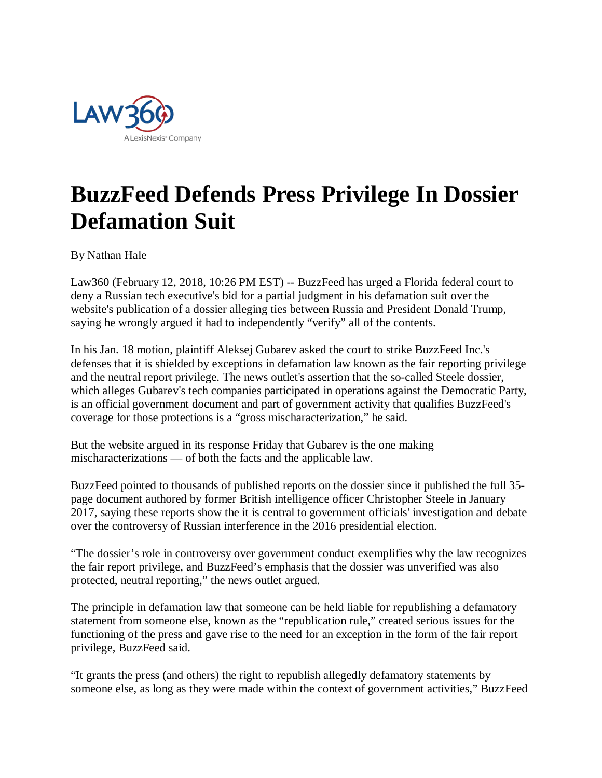

## **BuzzFeed Defends Press Privilege In Dossier Defamation Suit**

By Nathan Hale

Law360 (February 12, 2018, 10:26 PM EST) -- BuzzFeed has urged a Florida federal court to deny a Russian tech executive's bid for a partial judgment in his defamation suit over the website's publication of a dossier alleging ties between Russia and President Donald Trump, saying he wrongly argued it had to independently "verify" all of the contents.

In his Jan. 18 motion, plaintiff Aleksej Gubarev asked the court to strike BuzzFeed Inc.'s defenses that it is shielded by exceptions in defamation law known as the fair reporting privilege and the neutral report privilege. The news outlet's assertion that the so-called Steele dossier, which alleges Gubarev's tech companies participated in operations against the Democratic Party, is an official government document and part of government activity that qualifies BuzzFeed's coverage for those protections is a "gross mischaracterization," he said.

But the website argued in its response Friday that Gubarev is the one making mischaracterizations — of both the facts and the applicable law.

BuzzFeed pointed to thousands of published reports on the dossier since it published the full 35 page document authored by former British intelligence officer Christopher Steele in January 2017, saying these reports show the it is central to government officials' investigation and debate over the controversy of Russian interference in the 2016 presidential election.

"The dossier's role in controversy over government conduct exemplifies why the law recognizes the fair report privilege, and BuzzFeed's emphasis that the dossier was unverified was also protected, neutral reporting," the news outlet argued.

The principle in defamation law that someone can be held liable for republishing a defamatory statement from someone else, known as the "republication rule," created serious issues for the functioning of the press and gave rise to the need for an exception in the form of the fair report privilege, BuzzFeed said.

"It grants the press (and others) the right to republish allegedly defamatory statements by someone else, as long as they were made within the context of government activities," BuzzFeed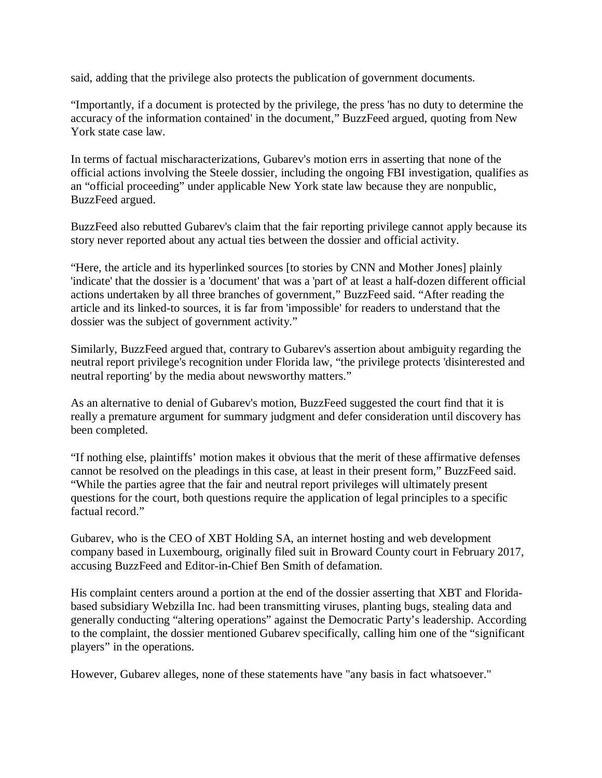said, adding that the privilege also protects the publication of government documents.

"Importantly, if a document is protected by the privilege, the press 'has no duty to determine the accuracy of the information contained' in the document," BuzzFeed argued, quoting from New York state case law.

In terms of factual mischaracterizations, Gubarev's motion errs in asserting that none of the official actions involving the Steele dossier, including the ongoing FBI investigation, qualifies as an "official proceeding" under applicable New York state law because they are nonpublic, BuzzFeed argued.

BuzzFeed also rebutted Gubarev's claim that the fair reporting privilege cannot apply because its story never reported about any actual ties between the dossier and official activity.

"Here, the article and its hyperlinked sources [to stories by CNN and Mother Jones] plainly 'indicate' that the dossier is a 'document' that was a 'part of' at least a half-dozen different official actions undertaken by all three branches of government," BuzzFeed said. "After reading the article and its linked-to sources, it is far from 'impossible' for readers to understand that the dossier was the subject of government activity."

Similarly, BuzzFeed argued that, contrary to Gubarev's assertion about ambiguity regarding the neutral report privilege's recognition under Florida law, "the privilege protects 'disinterested and neutral reporting' by the media about newsworthy matters."

As an alternative to denial of Gubarev's motion, BuzzFeed suggested the court find that it is really a premature argument for summary judgment and defer consideration until discovery has been completed.

"If nothing else, plaintiffs' motion makes it obvious that the merit of these affirmative defenses cannot be resolved on the pleadings in this case, at least in their present form," BuzzFeed said. "While the parties agree that the fair and neutral report privileges will ultimately present questions for the court, both questions require the application of legal principles to a specific factual record."

Gubarev, who is the CEO of XBT Holding SA, an internet hosting and web development company based in Luxembourg, originally filed suit in Broward County court in February 2017, accusing BuzzFeed and Editor-in-Chief Ben Smith of defamation.

His complaint centers around a portion at the end of the dossier asserting that XBT and Floridabased subsidiary Webzilla Inc. had been transmitting viruses, planting bugs, stealing data and generally conducting "altering operations" against the Democratic Party's leadership. According to the complaint, the dossier mentioned Gubarev specifically, calling him one of the "significant players" in the operations.

However, Gubarev alleges, none of these statements have "any basis in fact whatsoever."